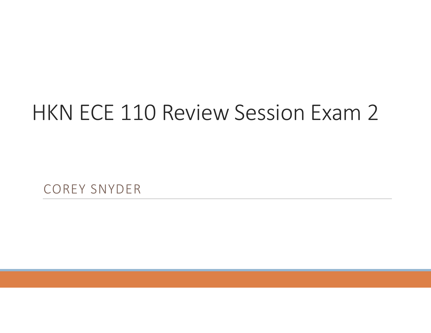## HKN ECE 110 Review Session Exam 2

COREY SNYDER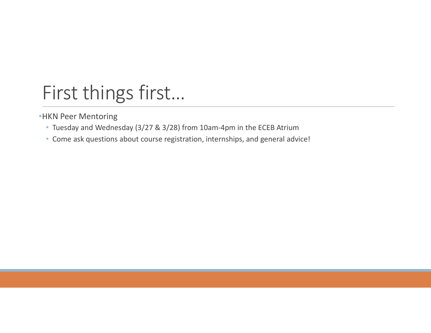### First things first…

•HKN Peer Mentoring

- Tuesday and Wednesday (3/27 & 3/28) from 10am-4pm in the ECEB Atrium
- Come ask questions about course registration, internships, and general advice!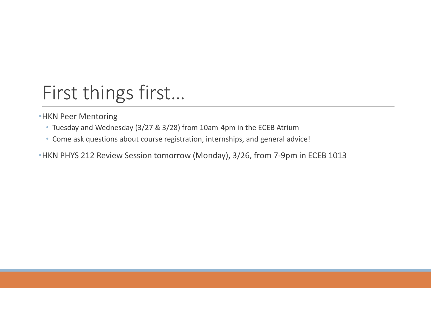### First things first…

•HKN Peer Mentoring

- Tuesday and Wednesday (3/27 & 3/28) from 10am-4pm in the ECEB Atrium
- Come ask questions about course registration, internships, and general advice!

•HKN PHYS 212 Review Session tomorrow (Monday), 3/26, from 7-9pm in ECEB 1013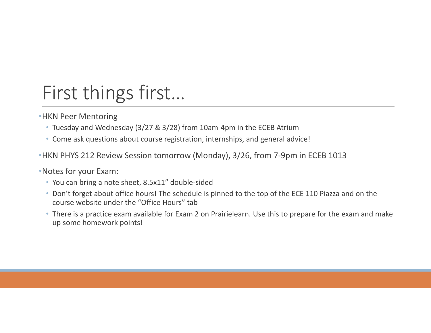### First things first…

•HKN Peer Mentoring

- Tuesday and Wednesday (3/27 & 3/28) from 10am-4pm in the ECEB Atrium
- Come ask questions about course registration, internships, and general advice!
- •HKN PHYS 212 Review Session tomorrow (Monday), 3/26, from 7-9pm in ECEB 1013

•Notes for your Exam:

- You can bring a note sheet, 8.5x11" double-sided
- Don't forget about office hours! The schedule is pinned to the top of the ECE 110 Piazza and on the course website under the "Office Hours" tab
- There is a practice exam available for Exam 2 on Prairielearn. Use this to prepare for the exam and make up some homework points!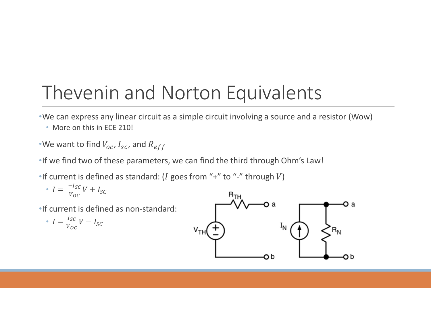# Thevenin and Norton Equivalents Thevenin and Norton Equivalent<br>
We can express any linear circuit as a simple circuit involving a se<br>
• More on this in ECE 210!<br>
We want to find  $V_{oc}$ ,  $I_{sc}$ , and  $R_{eff}$ <br>
if we find two of these parameters, we can find

•We can express any linear circuit as a simple circuit involving a source and a resistor (Wow)

• More on this in FCF 210!

•We want to find  $V_{oc}$ ,  $I_{sc}$ , and  $R_{eff}$ 

•If we find two of these parameters, we can find the third through Ohm's Law!

•If current is defined as standard: ( $I$  goes from "+" to "-" through  $V$ )

• 
$$
I = \frac{-I_{SC}}{V_{OC}}V + I_{SC}
$$

•If current is defined as non-standard:

• 
$$
I = \frac{I_{SC}}{V_{OC}}V - I_{SC}
$$

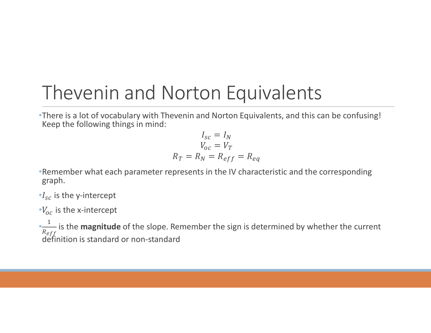#### Thevenin and Norton Equivalents

•There is a lot of vocabulary with Thevenin and Norton Equivalents, and this can be confusing! Keep the following things in mind:

$$
I_{sc} = I_N
$$
  
\n
$$
V_{oc} = V_T
$$
  
\n
$$
R_T = R_N = R_{eff} = R_{eq}
$$

•Remember what each parameter represents in the IV characteristic and the corresponding graph.

 $\cdot I_{sc}$  is the y-intercept

 $\cdot V_{oc}$  is the x-intercept

 $\frac{1}{n}$  is the **magnitude** of the s  $R_{eff}$ is the **magnitude** of the slope. Remember the sign is determined by whether the current definition is standard or non-standard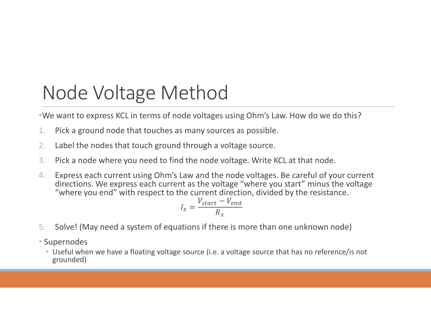#### Node Voltage Method

•We want to express KCL in terms of node voltages using Ohm's Law. How do we do this?

- 1. Pick a ground node that touches as many sources as possible.
- 2. Label the nodes that touch ground through a voltage source.
- 3. Pick a node where you need to find the node voltage. Write KCL at that node.
- 4. Express each current using Ohm's Law and the node voltages. Be careful of your current directions. We express each current as the voltage "where you start" minus the voltage "where you end" with respect to the current direction, divided by the resistance.

$$
I_x = \frac{V_{start} - V_{end}}{R_x}
$$

- 5. Solve! (May need a system of equations if there is more than one unknown node)
- Supernodes
	- Useful when we have a floating voltage source (i.e. a voltage source that has no reference/is not grounded)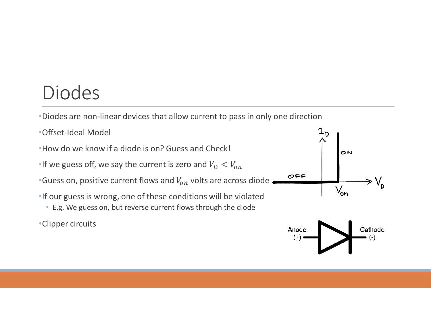#### Diodes

- •Diodes are non-linear devices that allow current to pass in only one direction
- •Offset-Ideal Model
- •How do we know if a diode is on? Guess and Check!
- •If we guess off, we say the current is zero and  $V_D < V_{on}$
- •Guess on, positive current flows and  $V_{on}$  volts are across diode  $\overline{\sigma_{FF}}$   $\overline{V_{on}}$ <br>•If our guess is wrong one of these conditions will be violated
- •If our guess is wrong, one of these conditions will be violated
	- E.g. We guess on, but reverse current flows through the diode
- •Clipper circuits



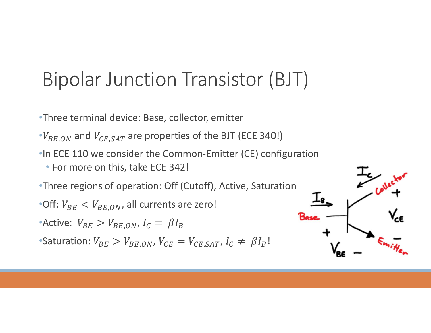#### Bipolar Junction Transistor (BJT)

•Three terminal device: Base, collector, emitter

 $\cdot V_{BE,ON}$  and  $V_{CE,SAT}$  are properties of the BJT (ECE 340!)

•In ECE 110 we consider the Common-Emitter (CE) configuration

• For more on this, take ECE 342!

•Three regions of operation: Off (Cutoff), Active, Saturation

•Off:  $V_{BE}$   $<$   $V_{BE,ON}$ , all currents are zero!

•Active:  $V_{BE} > V_{BE,ON}$ ,  $I_C = \beta I_B$ 

•Saturation:  $V_{BE} > V_{BE,ON}$ ,  $V_{CE} = V_{CE,SAT}$ ,  $I_C \neq \beta I_B!$ 

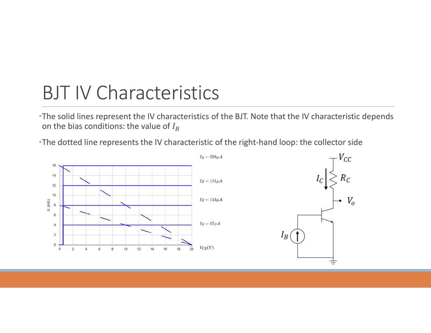#### BJT IV Characteristics

•The solid lines represent the IV characteristics of the BJT. Note that the IV characteristic depends on the bias conditions: the value of  $I_B$ 

•The dotted line represents the IV characteristic of the right-hand loop: the collector side